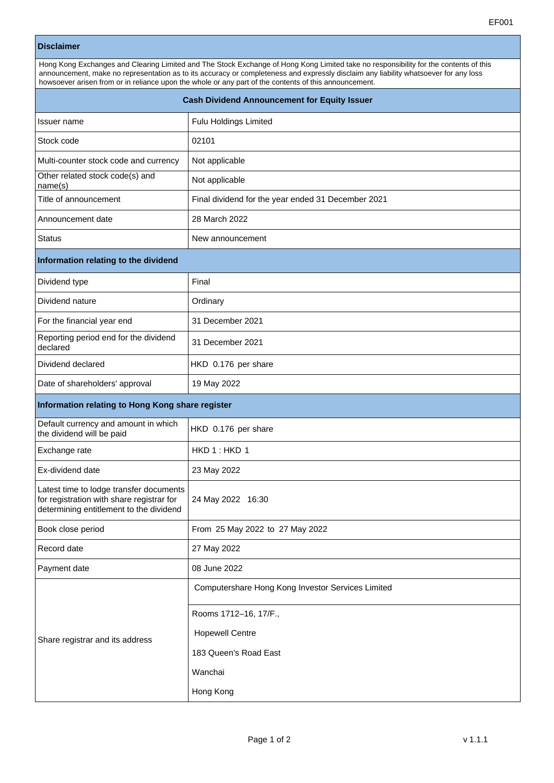## **Disclaimer**

| Hong Kong Exchanges and Clearing Limited and The Stock Exchange of Hong Kong Limited take no responsibility for the contents of this |  |  |
|--------------------------------------------------------------------------------------------------------------------------------------|--|--|
| announcement, make no representation as to its accuracy or completeness and expressly disclaim any liability whatsoever for any loss |  |  |
| howsoever arisen from or in reliance upon the whole or any part of the contents of this announcement.                                |  |  |
| <b>Cash Dividend Announcement for Equity Issuer</b>                                                                                  |  |  |

| Issuer name                                                                                                                     | Fulu Holdings Limited                              |  |
|---------------------------------------------------------------------------------------------------------------------------------|----------------------------------------------------|--|
| Stock code                                                                                                                      | 02101                                              |  |
| Multi-counter stock code and currency                                                                                           | Not applicable                                     |  |
| Other related stock code(s) and<br>name(s)                                                                                      | Not applicable                                     |  |
| Title of announcement                                                                                                           | Final dividend for the year ended 31 December 2021 |  |
| Announcement date                                                                                                               | 28 March 2022                                      |  |
| <b>Status</b>                                                                                                                   | New announcement                                   |  |
| Information relating to the dividend                                                                                            |                                                    |  |
| Dividend type                                                                                                                   | Final                                              |  |
| Dividend nature                                                                                                                 | Ordinary                                           |  |
| For the financial year end                                                                                                      | 31 December 2021                                   |  |
| Reporting period end for the dividend<br>declared                                                                               | 31 December 2021                                   |  |
| Dividend declared                                                                                                               | HKD 0.176 per share                                |  |
| Date of shareholders' approval                                                                                                  | 19 May 2022                                        |  |
| Information relating to Hong Kong share register                                                                                |                                                    |  |
| Default currency and amount in which<br>the dividend will be paid                                                               | HKD 0.176 per share                                |  |
| Exchange rate                                                                                                                   | HKD 1: HKD 1                                       |  |
| Ex-dividend date                                                                                                                | 23 May 2022                                        |  |
| Latest time to lodge transfer documents<br>for registration with share registrar for<br>determining entitlement to the dividend | 24 May 2022 16:30                                  |  |
| Book close period                                                                                                               | From 25 May 2022 to 27 May 2022                    |  |
| Record date                                                                                                                     | 27 May 2022                                        |  |
| Payment date                                                                                                                    | 08 June 2022                                       |  |
| Share registrar and its address                                                                                                 | Computershare Hong Kong Investor Services Limited  |  |
|                                                                                                                                 | Rooms 1712-16, 17/F.,                              |  |
|                                                                                                                                 | <b>Hopewell Centre</b>                             |  |
|                                                                                                                                 | 183 Queen's Road East                              |  |
|                                                                                                                                 | Wanchai                                            |  |
|                                                                                                                                 | Hong Kong                                          |  |